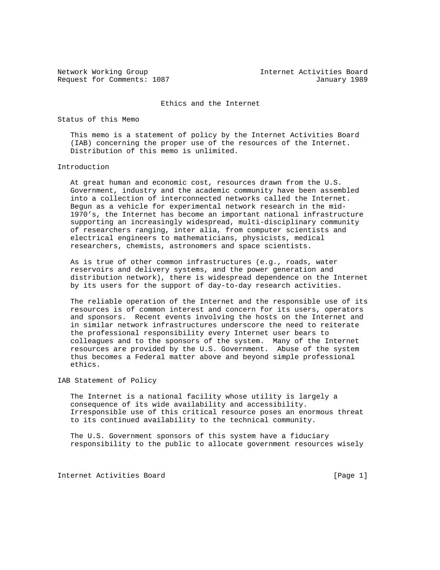Request for Comments: 1087 January 1989

Network Working Group Internet Activities Board

Ethics and the Internet

Status of this Memo

 This memo is a statement of policy by the Internet Activities Board (IAB) concerning the proper use of the resources of the Internet. Distribution of this memo is unlimited.

## Introduction

 At great human and economic cost, resources drawn from the U.S. Government, industry and the academic community have been assembled into a collection of interconnected networks called the Internet. Begun as a vehicle for experimental network research in the mid- 1970's, the Internet has become an important national infrastructure supporting an increasingly widespread, multi-disciplinary community of researchers ranging, inter alia, from computer scientists and electrical engineers to mathematicians, physicists, medical researchers, chemists, astronomers and space scientists.

 As is true of other common infrastructures (e.g., roads, water reservoirs and delivery systems, and the power generation and distribution network), there is widespread dependence on the Internet by its users for the support of day-to-day research activities.

 The reliable operation of the Internet and the responsible use of its resources is of common interest and concern for its users, operators and sponsors. Recent events involving the hosts on the Internet and in similar network infrastructures underscore the need to reiterate the professional responsibility every Internet user bears to colleagues and to the sponsors of the system. Many of the Internet resources are provided by the U.S. Government. Abuse of the system thus becomes a Federal matter above and beyond simple professional ethics.

IAB Statement of Policy

 The Internet is a national facility whose utility is largely a consequence of its wide availability and accessibility. Irresponsible use of this critical resource poses an enormous threat to its continued availability to the technical community.

 The U.S. Government sponsors of this system have a fiduciary responsibility to the public to allocate government resources wisely

Internet Activities Board [Page 1]